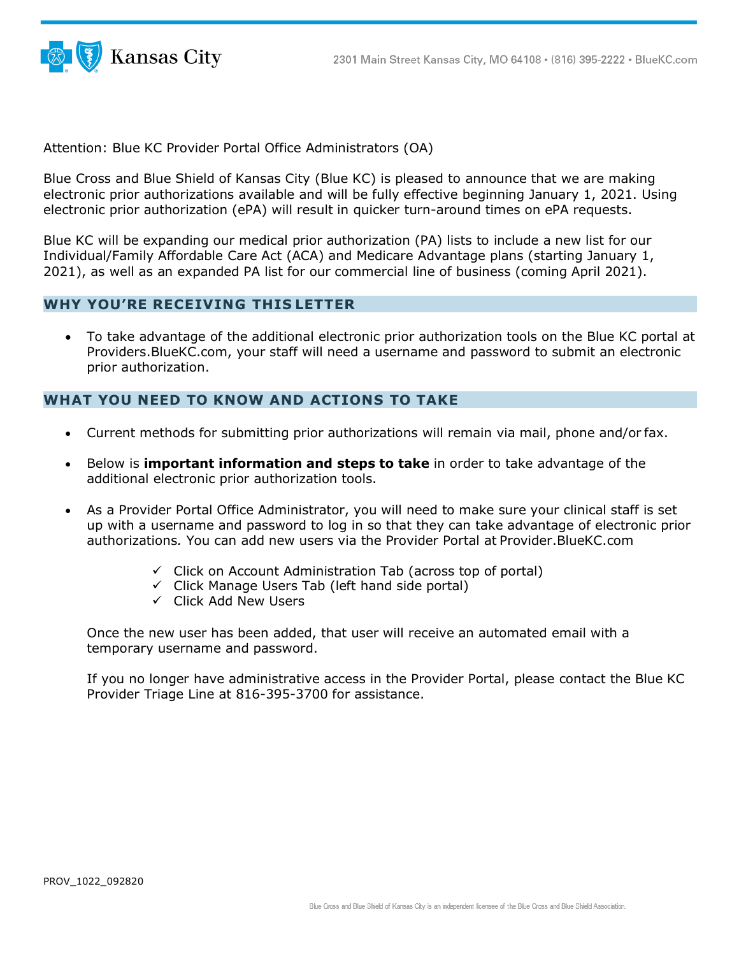

Attention: Blue KC Provider Portal Office Administrators (OA)

Blue Cross and Blue Shield of Kansas City (Blue KC) is pleased to announce that we are making electronic prior authorizations available and will be fully effective beginning January 1, 2021. Using electronic prior authorization (ePA) will result in quicker turn-around times on ePA requests.

Blue KC will be expanding our medical prior authorization (PA) lists to include a new list for our Individual/Family Affordable Care Act (ACA) and Medicare Advantage plans (starting January 1, 2021), as well as an expanded PA list for our commercial line of business (coming April 2021).

#### **WHY YOU'RE RECEIVING THIS LETTER**

• To take advantage of the additional electronic prior authorization tools on the Blue KC portal at Providers.BlueKC.com, your staff will need a username and password to submit an electronic prior authorization.

### **WHAT YOU NEED TO KNOW AND ACTIONS TO TAKE**

- Current methods for submitting prior authorizations will remain via mail, phone and/or fax.
- Below is **important information and steps to take** in order to take advantage of the additional electronic prior authorization tools.
- As a Provider Portal Office Administrator, you will need to make sure your clinical staff is set up with a username and password to log in so that they can take advantage of electronic prior authorizations*.* You can add new users via the Provider Portal at Provider.BlueKC.com
	- $\checkmark$  Click on Account Administration Tab (across top of portal)
	- $\checkmark$  Click Manage Users Tab (left hand side portal)
	- Click Add New Users

Once the new user has been added, that user will receive an automated email with a temporary username and password.

If you no longer have administrative access in the Provider Portal, please contact the Blue KC Provider Triage Line at 816-395-3700 for assistance.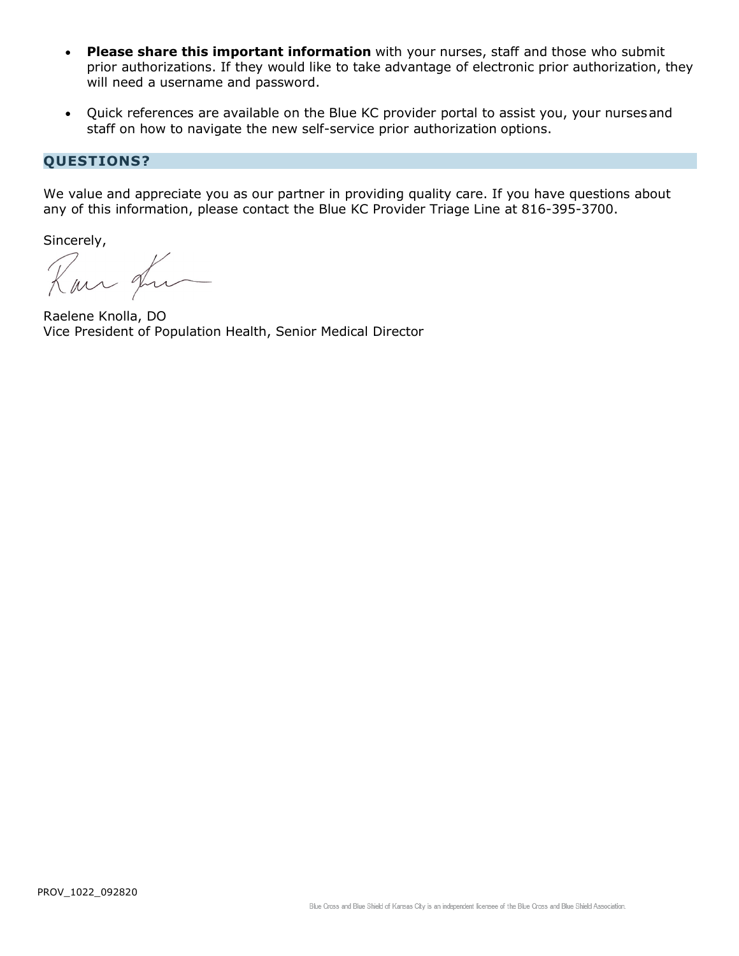- **Please share this important information** with your nurses, staff and those who submit prior authorizations. If they would like to take advantage of electronic prior authorization, they will need a username and password.
- Quick references are available on the Blue KC provider portal to assist you, your nursesand staff on how to navigate the new self-service prior authorization options.

## **QUESTIONS?**

We value and appreciate you as our partner in providing quality care. If you have questions about any of this information, please contact the Blue KC Provider Triage Line at 816-395-3700.

Sincerely,<br>Kan fu

Raelene Knolla, DO Vice President of Population Health, Senior Medical Director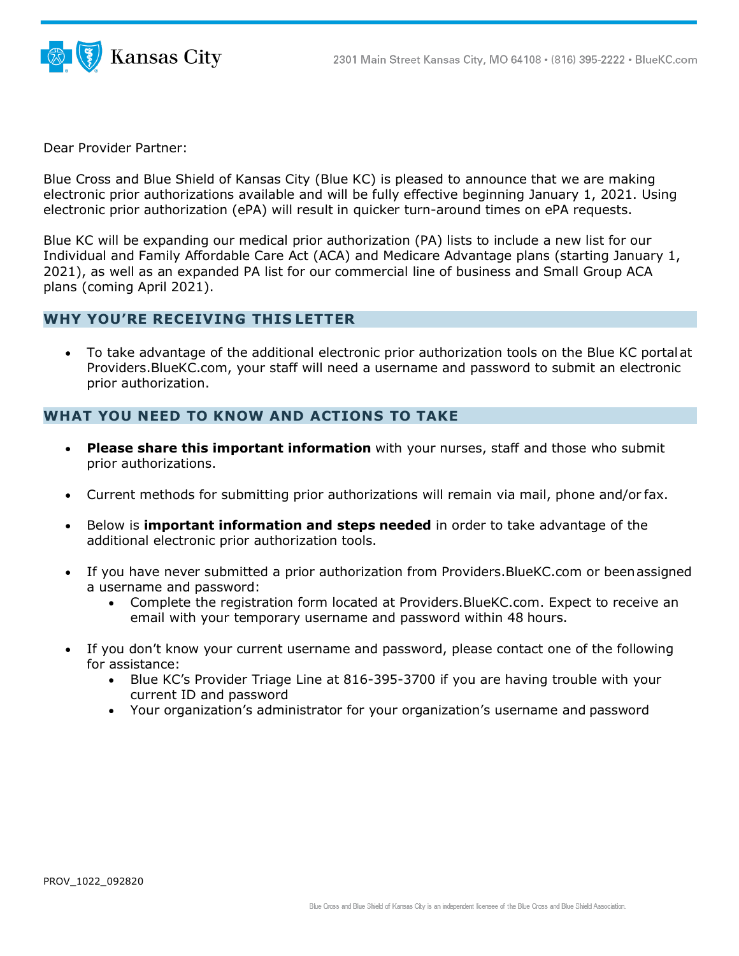

Dear Provider Partner:

Blue Cross and Blue Shield of Kansas City (Blue KC) is pleased to announce that we are making electronic prior authorizations available and will be fully effective beginning January 1, 2021. Using electronic prior authorization (ePA) will result in quicker turn-around times on ePA requests.

Blue KC will be expanding our medical prior authorization (PA) lists to include a new list for our Individual and Family Affordable Care Act (ACA) and Medicare Advantage plans (starting January 1, 2021), as well as an expanded PA list for our commercial line of business and Small Group ACA plans (coming April 2021).

#### **WHY YOU'RE RECEIVING THIS LETTER**

• To take advantage of the additional electronic prior authorization tools on the Blue KC portalat Providers.BlueKC.com, your staff will need a username and password to submit an electronic prior authorization.

#### **WHAT YOU NEED TO KNOW AND ACTIONS TO TAKE**

- **Please share this important information** with your nurses, staff and those who submit prior authorizations.
- Current methods for submitting prior authorizations will remain via mail, phone and/or fax.
- Below is **important information and steps needed** in order to take advantage of the additional electronic prior authorization tools.
- If you have never submitted a prior authorization from Providers. BlueKC.com or been assigned a username and password:
	- Complete the registration form located at Providers.BlueKC.com. Expect to receive an email with your temporary username and password within 48 hours.
- If you don't know your current username and password, please contact one of the following for assistance:
	- Blue KC's Provider Triage Line at 816-395-3700 if you are having trouble with your current ID and password
	- Your organization's administrator for your organization's username and password